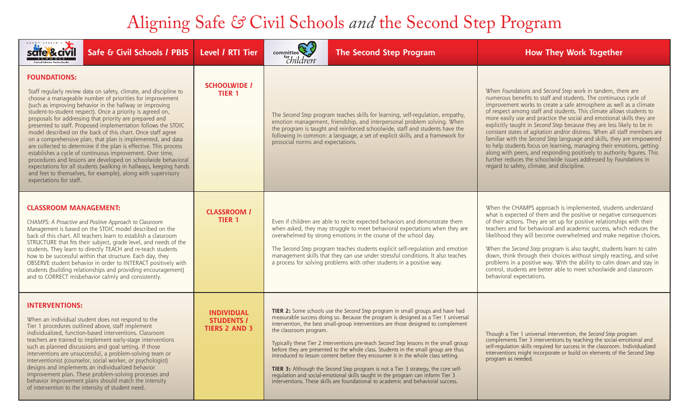## Aligning Safe *&* Civil Schools *and* the Second Step Program

| RANDY SPRICK'S<br>safe <sup>&amp;</sup> civil<br>Safe & Civil Schools / PBIS                                                                                                                                                                                                                                                                                                                                                                                                                                                                                                                                                                                                                                                                                                                                                                                                                               | Level / RTI Tier                                               | committee <sup>2</sup><br>"children <sup>®</sup>                                                                                                                                                                                                                                                                                                                                                                                                                                                                                                                                                                                                                                                                                                                                                                  | <b>The Second Step Program</b> | <b>How They Work Together</b>                                                                                                                                                                                                                                                                                                                                                                                                                                                                                                                                                                                                                                                                                                                                                                                                                             |
|------------------------------------------------------------------------------------------------------------------------------------------------------------------------------------------------------------------------------------------------------------------------------------------------------------------------------------------------------------------------------------------------------------------------------------------------------------------------------------------------------------------------------------------------------------------------------------------------------------------------------------------------------------------------------------------------------------------------------------------------------------------------------------------------------------------------------------------------------------------------------------------------------------|----------------------------------------------------------------|-------------------------------------------------------------------------------------------------------------------------------------------------------------------------------------------------------------------------------------------------------------------------------------------------------------------------------------------------------------------------------------------------------------------------------------------------------------------------------------------------------------------------------------------------------------------------------------------------------------------------------------------------------------------------------------------------------------------------------------------------------------------------------------------------------------------|--------------------------------|-----------------------------------------------------------------------------------------------------------------------------------------------------------------------------------------------------------------------------------------------------------------------------------------------------------------------------------------------------------------------------------------------------------------------------------------------------------------------------------------------------------------------------------------------------------------------------------------------------------------------------------------------------------------------------------------------------------------------------------------------------------------------------------------------------------------------------------------------------------|
| <b>FOUNDATIONS:</b><br>Staff regularly review data on safety, climate, and discipline to<br>choose a manageable number of priorities for improvement<br>(such as improving behavior in the hallway or improving<br>student-to-student respect). Once a priority is agreed on,<br>proposals for addressing that priority are prepared and<br>presented to staff. Proposed implementation follows the STOIC<br>model described on the back of this chart. Once staff agree<br>on a comprehensive plan, that plan is implemented, and data<br>are collected to determine if the plan is effective. This process<br>establishes a cycle of continuous improvement. Over time,<br>procedures and lessons are developed on schoolwide behavioral<br>expectations for all students (walking in hallways, keeping hands<br>and feet to themselves, for example), along with supervisory<br>expectations for staff. | <b>SCHOOLWIDE /</b><br><b>TIER 1</b>                           | The Second Step program teaches skills for learning, self-regulation, empathy,<br>emotion management, friendship, and interpersonal problem solving. When<br>the program is taught and reinforced schoolwide, staff and students have the<br>following in common: a language, a set of explicit skills, and a framework for<br>prosocial norms and expectations.                                                                                                                                                                                                                                                                                                                                                                                                                                                  |                                | When Foundations and Second Step work in tandem, there are<br>numerous benefits to staff and students. The continuous cycle of<br>improvement works to create a safe atmosphere as well as a climate<br>of respect among staff and students. This climate allows students to<br>more easily use and practice the social and emotional skills they are<br>explicitly taught in Second Step because they are less likely to be in<br>constant states of agitation and/or distress. When all staff members are<br>familiar with the Second Step language and skills, they are empowered<br>to help students focus on learning, managing their emotions, getting<br>along with peers, and responding positively to authority figures. This<br>further reduces the schoolwide issues addressed by Foundations in<br>regard to safety, climate, and discipline. |
| <b>CLASSROOM MANAGEMENT:</b><br>CHAMPS: A Proactive and Positive Approach to Classroom<br>Management is based on the STOIC model described on the<br>back of this chart. All teachers learn to establish a classroom<br>STRUCTURE that fits their subject, grade level, and needs of the<br>students. They learn to directly TEACH and re-teach students<br>how to be successful within that structure. Each day, they<br>OBSERVE student behavior in order to INTERACT positively with<br>students (building relationships and providing encouragement)<br>and to CORRECT misbehavior calmly and consistently.                                                                                                                                                                                                                                                                                            | <b>CLASSROOM /</b><br><b>TIER 1</b>                            | Even if children are able to recite expected behaviors and demonstrate them<br>when asked, they may struggle to meet behavioral expectations when they are<br>overwhelmed by strong emotions in the course of the school day.<br>The Second Step program teaches students explicit self-regulation and emotion<br>management skills that they can use under stressful conditions. It also teaches<br>a process for solving problems with other students in a positive way.                                                                                                                                                                                                                                                                                                                                        |                                | When the CHAMPS approach is implemented, students understand<br>what is expected of them and the positive or negative consequences<br>of their actions. They are set up for positive relationships with their<br>teachers and for behavioral and academic success, which reduces the<br>likelihood they will become overwhelmed and make negative choices.<br>When the Second Step program is also taught, students learn to calm<br>down, think through their choices without simply reacting, and solve<br>problems in a positive way. With the ability to calm down and stay in<br>control, students are better able to meet schoolwide and classroom<br>behavioral expectations.                                                                                                                                                                      |
| <b>INTERVENTIONS:</b><br>When an individual student does not respond to the<br>Tier 1 procedures outlined above, staff implement<br>individualized, function-based interventions. Classroom<br>teachers are trained to implement early-stage interventions<br>such as planned discussions and goal setting. If those<br>interventions are unsuccessful, a problem-solving team or<br>interventionist (counselor, social worker, or psychologist)<br>designs and implements an individualized behavior<br>improvement plan. These problem-solving processes and<br>behavior improvement plans should match the intensity<br>of intervention to the intensity of student need.                                                                                                                                                                                                                               | <b>INDIVIDUAL</b><br><b>STUDENTS /</b><br><b>TIERS 2 AND 3</b> | TIER 2: Some schools use the Second Step program in small groups and have had<br>measurable success doing so. Because the program is designed as a Tier 1 universal<br>intervention, the best small-group interventions are those designed to complement<br>the classroom program.<br>Typically these Tier 2 interventions pre-teach Second Step lessons in the small group<br>before they are presented to the whole class. Students in the small group are thus<br>introduced to lesson content before they encounter it in the whole class setting.<br>TIER 3: Although the Second Step program is not a Tier 3 strategy, the core self-<br>regulation and social-emotional skills taught in the program can inform Tier 3<br>interventions. These skills are foundational to academic and behavioral success. |                                | Though a Tier 1 universal intervention, the Second Step program<br>complements Tier 3 interventions by teaching the social-emotional and<br>self-regulation skills required for success in the classroom. Individualized<br>interventions might incorporate or build on elements of the Second Step<br>program as needed.                                                                                                                                                                                                                                                                                                                                                                                                                                                                                                                                 |